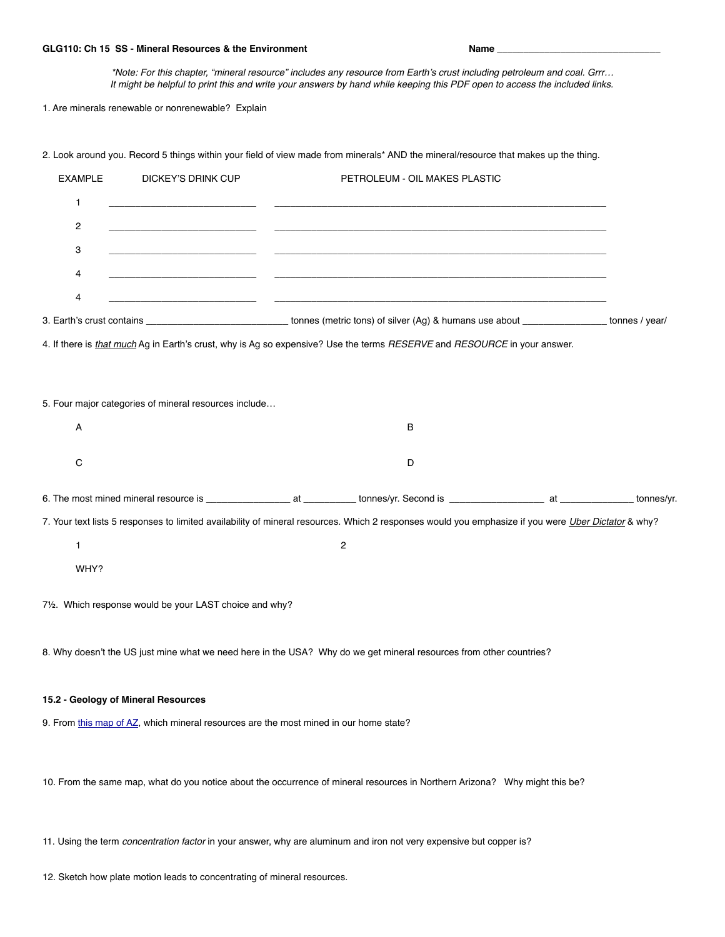# GLG110: Ch 15 SS - Mineral Resources & the Environment **Name** Name

*\*Note: For this chapter, "mineral resource" includes any resource from Earth's crust including petroleum and coal. Grrr… It might be helpful to print this and write your answers by hand while keeping this PDF open to access the included links.*

1. Are minerals renewable or nonrenewable? Explain

2. Look around you. Record 5 things within your field of view made from minerals\* AND the mineral/resource that makes up the thing.

| <b>EXAMPLE</b>                                          | DICKEY'S DRINK CUP                                                                                                   |  | PETROLEUM - OIL MAKES PLASTIC                                                                                                                       |  |  |
|---------------------------------------------------------|----------------------------------------------------------------------------------------------------------------------|--|-----------------------------------------------------------------------------------------------------------------------------------------------------|--|--|
| 1                                                       |                                                                                                                      |  | <u> 1999 - Jan James James James James James James James James James James James James James James James James J</u>                                |  |  |
| $\overline{c}$                                          | <u> 1989 - Johann John Harrison, mars and de la partie de la partie de la partie de la partie de la partie de la</u> |  | <u> Liste de la contrada de la contrada de la contrada de la contrada de la contrada de la contrada de la contrad</u>                               |  |  |
| 3                                                       |                                                                                                                      |  |                                                                                                                                                     |  |  |
| 4                                                       |                                                                                                                      |  |                                                                                                                                                     |  |  |
| 4                                                       |                                                                                                                      |  |                                                                                                                                                     |  |  |
|                                                         |                                                                                                                      |  |                                                                                                                                                     |  |  |
|                                                         | 5. Four major categories of mineral resources include                                                                |  | 4. If there is <i>that much</i> Ag in Earth's crust, why is Ag so expensive? Use the terms RESERVE and RESOURCE in your answer.                     |  |  |
| Α                                                       |                                                                                                                      |  | в                                                                                                                                                   |  |  |
| C                                                       |                                                                                                                      |  | D                                                                                                                                                   |  |  |
|                                                         |                                                                                                                      |  |                                                                                                                                                     |  |  |
|                                                         |                                                                                                                      |  | 7. Your text lists 5 responses to limited availability of mineral resources. Which 2 responses would you emphasize if you were Uber Dictator & why? |  |  |
| 1                                                       |                                                                                                                      |  | $\overline{c}$                                                                                                                                      |  |  |
| WHY?                                                    |                                                                                                                      |  |                                                                                                                                                     |  |  |
| 71/2. Which response would be your LAST choice and why? |                                                                                                                      |  |                                                                                                                                                     |  |  |
|                                                         |                                                                                                                      |  | 8. Why doesn't the US just mine what we need here in the USA? Why do we get mineral resources from other countries?                                 |  |  |
|                                                         | 15.2 - Geology of Mineral Resources                                                                                  |  |                                                                                                                                                     |  |  |
|                                                         | 9. From this map of AZ, which mineral resources are the most mined in our home state?                                |  |                                                                                                                                                     |  |  |
|                                                         |                                                                                                                      |  | 10. From the same map, what do you notice about the occurrence of mineral resources in Northern Arizona? Why might this be?                         |  |  |

11. Using the term *concentration factor* in your answer, why are aluminum and iron not very expensive but copper is?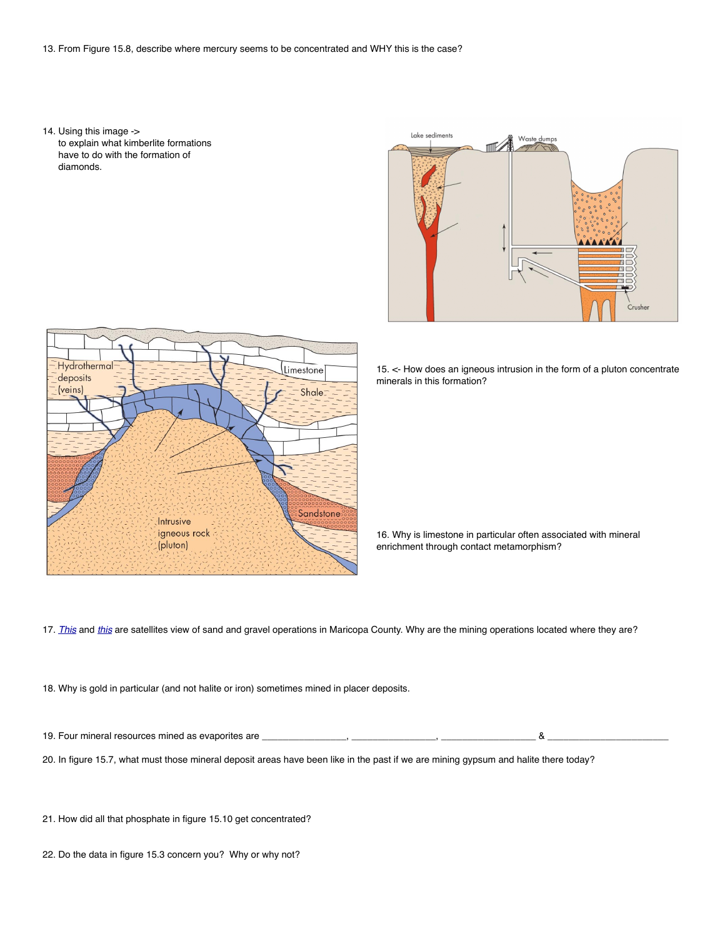#### 13. From Figure 15.8, describe where mercury seems to be concentrated and WHY this is the case?

14. Using this image -> to explain what kimberlite formations have to do with the formation of diamonds.



15. <- How does an igneous intrusion in the form of a pluton concentrate minerals in this formation?

16. Why is limestone in particular often associated with mineral enrichment through contact metamorphism?

17. *[This](https://www.google.com/maps/@33.4147929,-112.0354933,349m/data=!3m1!1e3)* and *[this](https://www.google.com/maps/@33.6268797,-112.3154688,710m/data=!3m1!1e3)* are satellites view of sand and gravel operations in Maricopa County. Why are the mining operations located where they are?

18. Why is gold in particular (and not halite or iron) sometimes mined in placer deposits.

19. Four mineral resources mined as evaporites are  $\frac{1}{2}$  =  $\frac{1}{2}$  =  $\frac{1}{2}$  =  $\frac{1}{2}$  =  $\frac{1}{2}$  =  $\frac{1}{2}$  =  $\frac{1}{2}$  =  $\frac{1}{2}$  =  $\frac{1}{2}$  =  $\frac{1}{2}$  =  $\frac{1}{2}$  =  $\frac{1}{2}$  =  $\frac{1}{2}$  =  $\frac{1}{2}$  =  $\$ 

20. In figure 15.7, what must those mineral deposit areas have been like in the past if we are mining gypsum and halite there today?

21. How did all that phosphate in figure 15.10 get concentrated?

22. Do the data in figure 15.3 concern you? Why or why not?